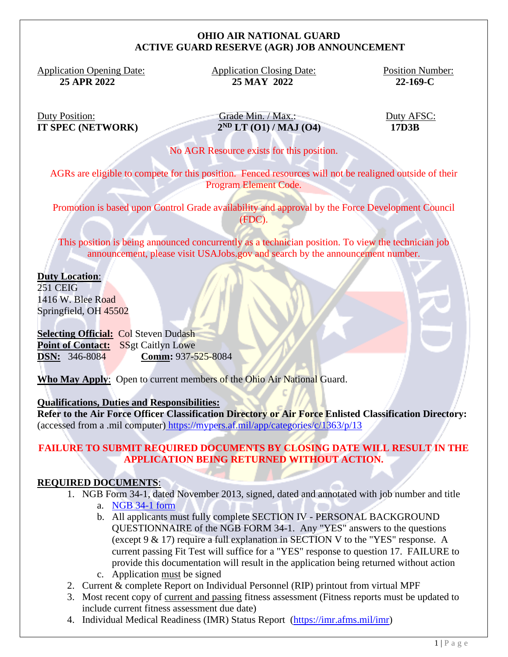### **OHIO AIR NATIONAL GUARD ACTIVE GUARD RESERVE (AGR) JOB ANNOUNCEMENT**

Application Opening Date: Application Closing Date: Position Number:

 **25 APR 2022 25 MAY 2022 22-169-C**

**IT SPEC (NETWORK) 2**

Duty Position: Grade Min. / Max.: Duty AFSC:  $\sqrt{2^{ND} L T (01) / MAJ (04)}$  17D3B

No AGR Resource exists for this position.

AGRs are eligible to compete for this position. Fenced resources will not be realigned outside of their Program Element Code.

Promotion is based upon Control Grade availability and approval by the Force Development Council (FDC).

This position is being announced concurrently as a technician position. To view the technician job announcement, please visit USAJobs.gov and search by the announcement number.

**Duty Location**:

251 CEIG 1416 W. Blee Road Springfield, OH 45502

**Selecting Official:** Col Steven Dudash Point of Contact: SSgt Caitlyn Lowe **DSN:** 346-8084 **Comm:** 937-525-8084

**Who May Apply**: Open to current members of the Ohio Air National Guard.

#### **Qualifications, Duties and Responsibilities:**

**Refer to the Air Force Officer Classification Directory or Air Force Enlisted Classification Directory:** (accessed from a .mil computer) <https://mypers.af.mil/app/categories/c/1363/p/13>

# **FAILURE TO SUBMIT REQUIRED DOCUMENTS BY CLOSING DATE WILL RESULT IN THE APPLICATION BEING RETURNED WITHOUT ACTION.**

## **REQUIRED DOCUMENTS**:

- 1. NGB Form 34-1, dated November 2013, signed, dated and annotated with job number and title
	- a. [NGB 34-1 form](file:///C:/Users/bethany.d.tronafarle/Desktop/NGB%2034-1.pdf)
	- b. All applicants must fully complete SECTION IV PERSONAL BACKGROUND QUESTIONNAIRE of the NGB FORM 34-1. Any "YES" answers to the questions (except 9 & 17) require a full explanation in SECTION V to the "YES" response. A current passing Fit Test will suffice for a "YES" response to question 17. FAILURE to provide this documentation will result in the application being returned without action c. Application must be signed
- 2. Current & complete Report on Individual Personnel (RIP) printout from virtual MPF
- 3. Most recent copy of current and passing fitness assessment (Fitness reports must be updated to include current fitness assessment due date)
- 4. Individual Medical Readiness (IMR) Status Report [\(https://imr.afms.mil/imr\)](https://imr.afms.mil/imr)